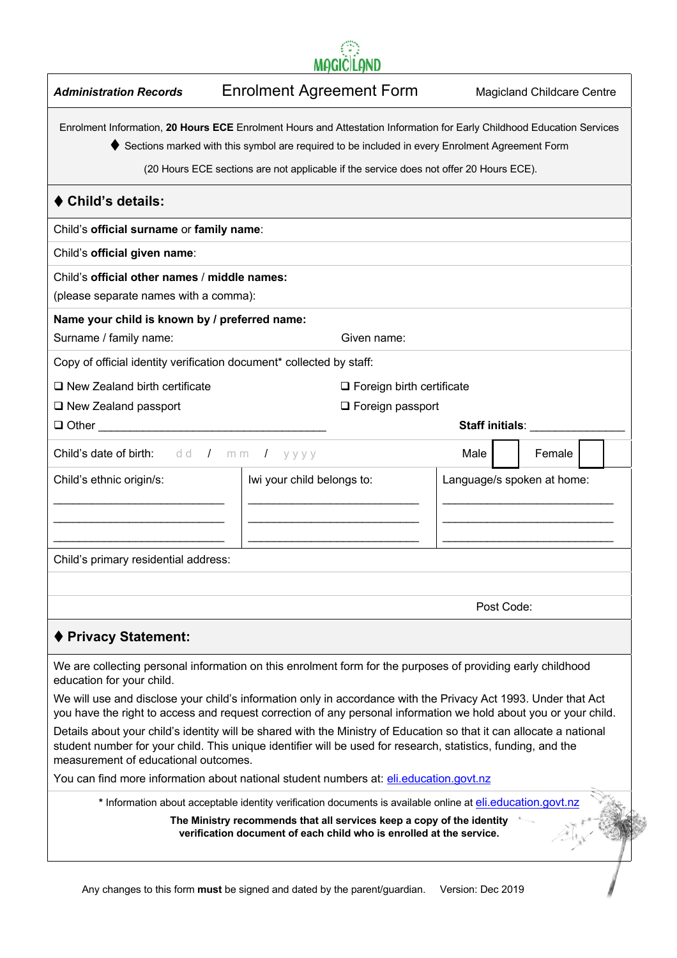| <b>MAGICILAND</b> |  |
|-------------------|--|

| <b>Administration Records</b>                                                         | <b>Enrolment Agreement Form</b>                                                                                                                                                                                                                                                                                    |                   | <b>Magicland Childcare Centre</b> |  |
|---------------------------------------------------------------------------------------|--------------------------------------------------------------------------------------------------------------------------------------------------------------------------------------------------------------------------------------------------------------------------------------------------------------------|-------------------|-----------------------------------|--|
|                                                                                       | Enrolment Information, 20 Hours ECE Enrolment Hours and Attestation Information for Early Childhood Education Services<br>Sections marked with this symbol are required to be included in every Enrolment Agreement Form<br>(20 Hours ECE sections are not applicable if the service does not offer 20 Hours ECE). |                   |                                   |  |
| ♦ Child's details:                                                                    |                                                                                                                                                                                                                                                                                                                    |                   |                                   |  |
| Child's official surname or family name:                                              |                                                                                                                                                                                                                                                                                                                    |                   |                                   |  |
| Child's official given name:                                                          |                                                                                                                                                                                                                                                                                                                    |                   |                                   |  |
| Child's official other names / middle names:<br>(please separate names with a comma): |                                                                                                                                                                                                                                                                                                                    |                   |                                   |  |
| Name your child is known by / preferred name:                                         |                                                                                                                                                                                                                                                                                                                    |                   |                                   |  |
| Surname / family name:                                                                | Given name:                                                                                                                                                                                                                                                                                                        |                   |                                   |  |
| Copy of official identity verification document* collected by staff:                  |                                                                                                                                                                                                                                                                                                                    |                   |                                   |  |
| $\Box$ New Zealand birth certificate                                                  | $\Box$ Foreign birth certificate                                                                                                                                                                                                                                                                                   |                   |                                   |  |
| $\Box$ New Zealand passport                                                           | $\Box$ Foreign passport                                                                                                                                                                                                                                                                                            |                   |                                   |  |
| $\Box$ Other $\Box$                                                                   |                                                                                                                                                                                                                                                                                                                    |                   | Staff initials:                   |  |
| Child's date of birth: dd / mm / yyyy                                                 |                                                                                                                                                                                                                                                                                                                    | Male              | Female                            |  |
| Child's ethnic origin/s:                                                              | Iwi your child belongs to:                                                                                                                                                                                                                                                                                         |                   | Language/s spoken at home:        |  |
|                                                                                       |                                                                                                                                                                                                                                                                                                                    |                   |                                   |  |
|                                                                                       |                                                                                                                                                                                                                                                                                                                    |                   |                                   |  |
|                                                                                       |                                                                                                                                                                                                                                                                                                                    |                   |                                   |  |
| Child's primary residential address:                                                  |                                                                                                                                                                                                                                                                                                                    |                   |                                   |  |
|                                                                                       |                                                                                                                                                                                                                                                                                                                    |                   |                                   |  |
|                                                                                       |                                                                                                                                                                                                                                                                                                                    |                   | Post Code:                        |  |
| ♦ Privacy Statement:                                                                  |                                                                                                                                                                                                                                                                                                                    |                   |                                   |  |
| education for your child.                                                             | We are collecting personal information on this enrolment form for the purposes of providing early childhood                                                                                                                                                                                                        |                   |                                   |  |
|                                                                                       | We will use and disclose your child's information only in accordance with the Privacy Act 1993. Under that Act<br>you have the right to access and request correction of any personal information we hold about you or your child.                                                                                 |                   |                                   |  |
| measurement of educational outcomes.                                                  | Details about your child's identity will be shared with the Ministry of Education so that it can allocate a national<br>student number for your child. This unique identifier will be used for research, statistics, funding, and the                                                                              |                   |                                   |  |
|                                                                                       | You can find more information about national student numbers at: eli.education.govt.nz                                                                                                                                                                                                                             |                   |                                   |  |
|                                                                                       | * Information about acceptable identity verification documents is available online at eli.education.govt.nz                                                                                                                                                                                                        |                   |                                   |  |
|                                                                                       | The Ministry recommends that all services keep a copy of the identity<br>verification document of each child who is enrolled at the service.                                                                                                                                                                       |                   |                                   |  |
|                                                                                       | Any changes to this form must be signed and dated by the parent/guardian.                                                                                                                                                                                                                                          | Version: Dec 2019 |                                   |  |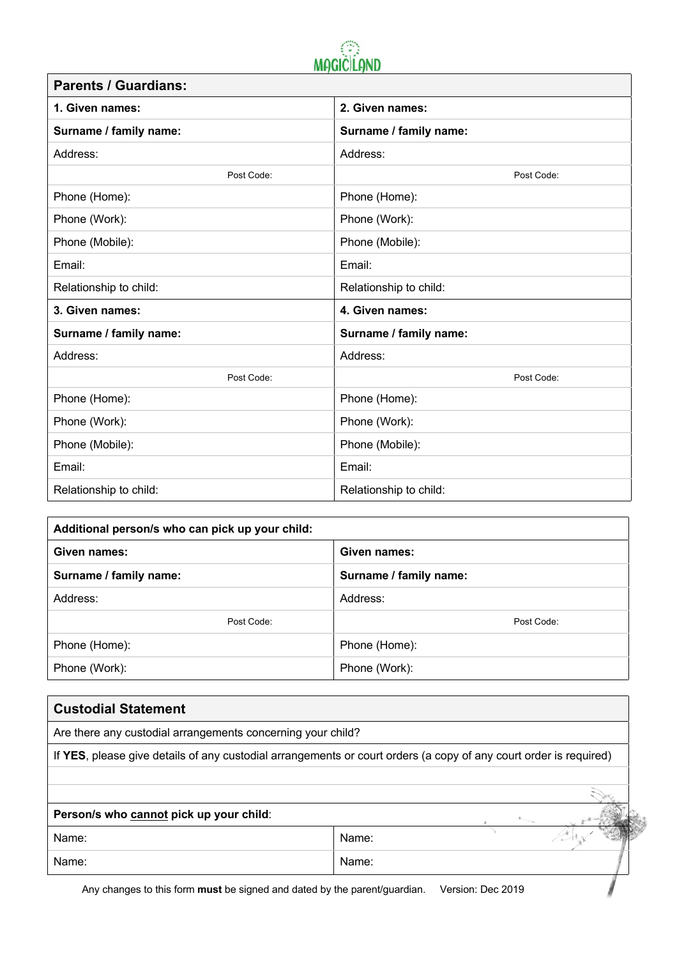

| <b>Parents / Guardians:</b> |                        |  |  |  |
|-----------------------------|------------------------|--|--|--|
| 1. Given names:             | 2. Given names:        |  |  |  |
| Surname / family name:      | Surname / family name: |  |  |  |
| Address:                    | Address:               |  |  |  |
| Post Code:                  | Post Code:             |  |  |  |
| Phone (Home):               | Phone (Home):          |  |  |  |
| Phone (Work):               | Phone (Work):          |  |  |  |
| Phone (Mobile):             | Phone (Mobile):        |  |  |  |
| Email:                      | Email:                 |  |  |  |
| Relationship to child:      | Relationship to child: |  |  |  |
| 3. Given names:             | 4. Given names:        |  |  |  |
| Surname / family name:      | Surname / family name: |  |  |  |
| Address:                    | Address:               |  |  |  |
| Post Code:                  | Post Code:             |  |  |  |
| Phone (Home):               | Phone (Home):          |  |  |  |
| Phone (Work):               | Phone (Work):          |  |  |  |
| Phone (Mobile):             | Phone (Mobile):        |  |  |  |
| Email:                      | Email:                 |  |  |  |
| Relationship to child:      | Relationship to child: |  |  |  |

| Additional person/s who can pick up your child: |                        |  |  |  |  |
|-------------------------------------------------|------------------------|--|--|--|--|
| Given names:                                    | Given names:           |  |  |  |  |
| Surname / family name:                          | Surname / family name: |  |  |  |  |
| Address:                                        | Address:               |  |  |  |  |
| Post Code:                                      | Post Code:             |  |  |  |  |
| Phone (Home):                                   | Phone (Home):          |  |  |  |  |
| Phone (Work):                                   | Phone (Work):          |  |  |  |  |

| <b>Custodial Statement</b>                                  |                                                                                                                   |
|-------------------------------------------------------------|-------------------------------------------------------------------------------------------------------------------|
| Are there any custodial arrangements concerning your child? |                                                                                                                   |
|                                                             | If YES, please give details of any custodial arrangements or court orders (a copy of any court order is required) |
|                                                             |                                                                                                                   |
|                                                             |                                                                                                                   |
| Person/s who cannot pick up your child:                     |                                                                                                                   |
| Name:                                                       | Name:                                                                                                             |
| Name:                                                       | Name:                                                                                                             |
|                                                             | Any changes to this form <b>must</b> be signed and dated by the parent/quardian.<br>Version: Dec 2019             |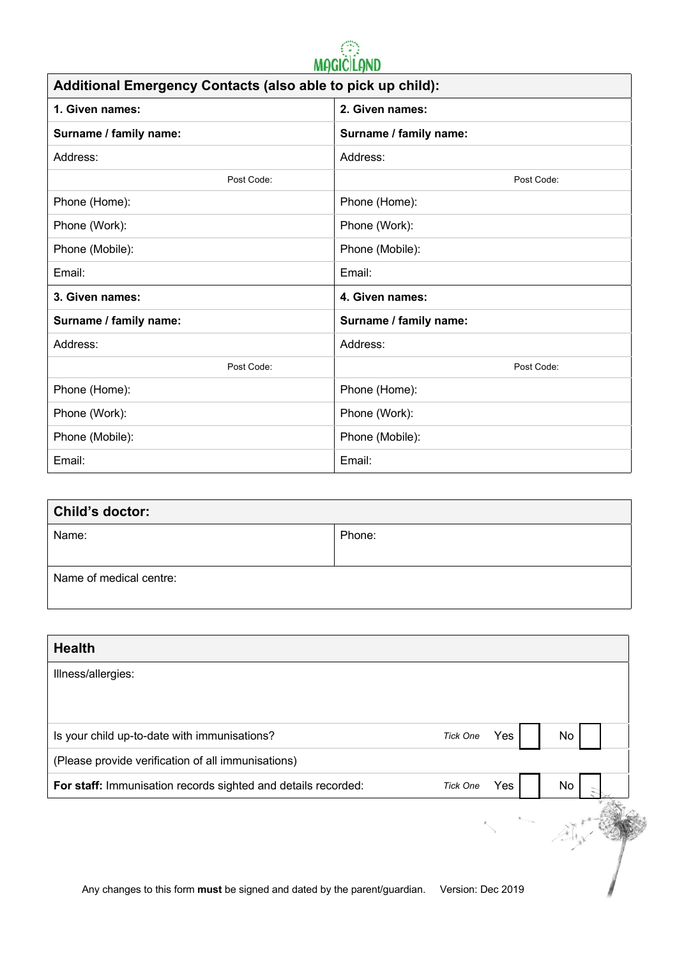

| Additional Emergency Contacts (also able to pick up child): |                        |  |  |  |  |
|-------------------------------------------------------------|------------------------|--|--|--|--|
| 1. Given names:                                             | 2. Given names:        |  |  |  |  |
| Surname / family name:                                      | Surname / family name: |  |  |  |  |
| Address:                                                    | Address:               |  |  |  |  |
| Post Code:                                                  | Post Code:             |  |  |  |  |
| Phone (Home):                                               | Phone (Home):          |  |  |  |  |
| Phone (Work):                                               | Phone (Work):          |  |  |  |  |
| Phone (Mobile):                                             | Phone (Mobile):        |  |  |  |  |
| Email:                                                      | Email:                 |  |  |  |  |
| 3. Given names:                                             | 4. Given names:        |  |  |  |  |
| Surname / family name:                                      | Surname / family name: |  |  |  |  |
| Address:                                                    | Address:               |  |  |  |  |
| Post Code:                                                  | Post Code:             |  |  |  |  |
| Phone (Home):                                               | Phone (Home):          |  |  |  |  |
| Phone (Work):                                               | Phone (Work):          |  |  |  |  |
| Phone (Mobile):                                             | Phone (Mobile):        |  |  |  |  |
| Email:                                                      | Email:                 |  |  |  |  |

| Child's doctor:         |        |  |  |  |  |
|-------------------------|--------|--|--|--|--|
| Name:                   | Phone: |  |  |  |  |
|                         |        |  |  |  |  |
| Name of medical centre: |        |  |  |  |  |

| <b>Health</b>                                                             |                        |    |
|---------------------------------------------------------------------------|------------------------|----|
| Illness/allergies:                                                        |                        |    |
|                                                                           |                        |    |
| Is your child up-to-date with immunisations?                              | Yes<br><b>Tick One</b> | No |
| (Please provide verification of all immunisations)                        |                        |    |
| For staff: Immunisation records sighted and details recorded:             | Yes<br><b>Tick One</b> | No |
|                                                                           |                        |    |
| Any changes to this form must be signed and dated by the parent/guardian. | Version: Dec 2019      |    |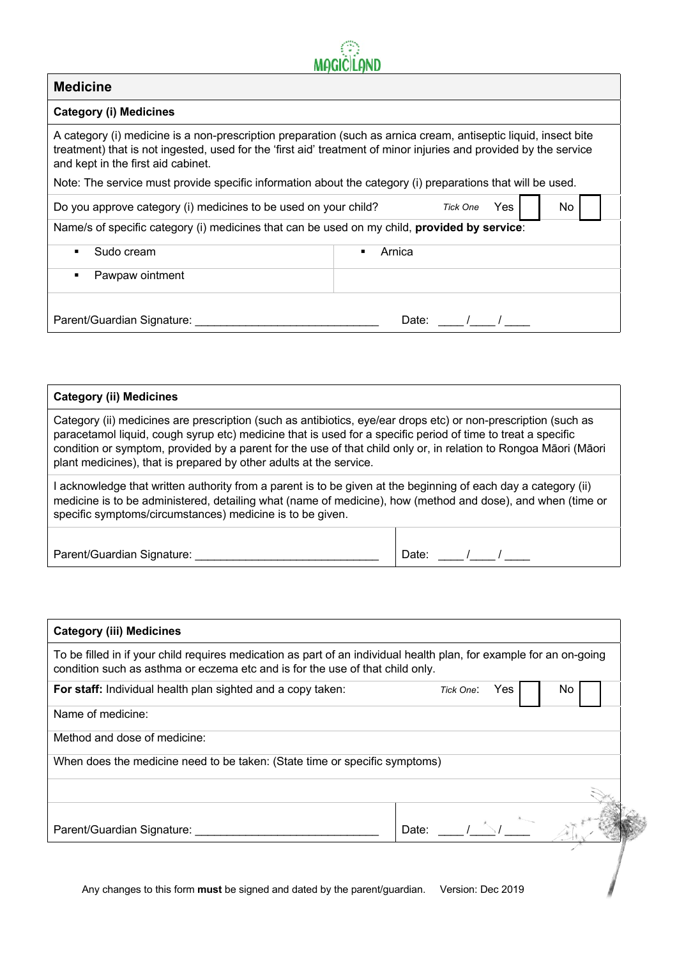| <b>Medicine</b>                                                                                                                                                                                                                                                            |        |                 |     |     |  |
|----------------------------------------------------------------------------------------------------------------------------------------------------------------------------------------------------------------------------------------------------------------------------|--------|-----------------|-----|-----|--|
| <b>Category (i) Medicines</b>                                                                                                                                                                                                                                              |        |                 |     |     |  |
| A category (i) medicine is a non-prescription preparation (such as arnica cream, antiseptic liquid, insect bite<br>treatment) that is not ingested, used for the 'first aid' treatment of minor injuries and provided by the service<br>and kept in the first aid cabinet. |        |                 |     |     |  |
| Note: The service must provide specific information about the category (i) preparations that will be used.                                                                                                                                                                 |        |                 |     |     |  |
| Do you approve category (i) medicines to be used on your child?                                                                                                                                                                                                            |        | <b>Tick One</b> | Yes | No. |  |
| Name/s of specific category (i) medicines that can be used on my child, provided by service:                                                                                                                                                                               |        |                 |     |     |  |
| Sudo cream<br>٠                                                                                                                                                                                                                                                            | Arnica |                 |     |     |  |
| Pawpaw ointment<br>٠                                                                                                                                                                                                                                                       |        |                 |     |     |  |
| Parent/Guardian Signature:                                                                                                                                                                                                                                                 | Date:  |                 |     |     |  |

 $\mathbb{C}^2$ 

| <b>Category (ii) Medicines</b>                                                                                                                                                                                                                                                                                                                                                                                           |       |  |  |  |
|--------------------------------------------------------------------------------------------------------------------------------------------------------------------------------------------------------------------------------------------------------------------------------------------------------------------------------------------------------------------------------------------------------------------------|-------|--|--|--|
| Category (ii) medicines are prescription (such as antibiotics, eye/ear drops etc) or non-prescription (such as<br>paracetamol liquid, cough syrup etc) medicine that is used for a specific period of time to treat a specific<br>condition or symptom, provided by a parent for the use of that child only or, in relation to Rongoa Māori (Māori<br>plant medicines), that is prepared by other adults at the service. |       |  |  |  |
| I acknowledge that written authority from a parent is to be given at the beginning of each day a category (ii)<br>medicine is to be administered, detailing what (name of medicine), how (method and dose), and when (time or<br>specific symptoms/circumstances) medicine is to be given.                                                                                                                               |       |  |  |  |
| Parent/Guardian Signature:                                                                                                                                                                                                                                                                                                                                                                                               | Date: |  |  |  |

| <b>Category (iii) Medicines</b>                                                                                                                                                                      |                   |     |
|------------------------------------------------------------------------------------------------------------------------------------------------------------------------------------------------------|-------------------|-----|
| To be filled in if your child requires medication as part of an individual health plan, for example for an on-going<br>condition such as asthma or eczema etc and is for the use of that child only. |                   |     |
| For staff: Individual health plan sighted and a copy taken:                                                                                                                                          | Yes<br>Tick One:  | No. |
| Name of medicine:                                                                                                                                                                                    |                   |     |
| Method and dose of medicine:                                                                                                                                                                         |                   |     |
| When does the medicine need to be taken: (State time or specific symptoms)                                                                                                                           |                   |     |
|                                                                                                                                                                                                      |                   |     |
| Parent/Guardian Signature:                                                                                                                                                                           | Date:             |     |
|                                                                                                                                                                                                      |                   |     |
| Any changes to this form must be signed and dated by the parent/guardian.                                                                                                                            | Version: Dec 2019 |     |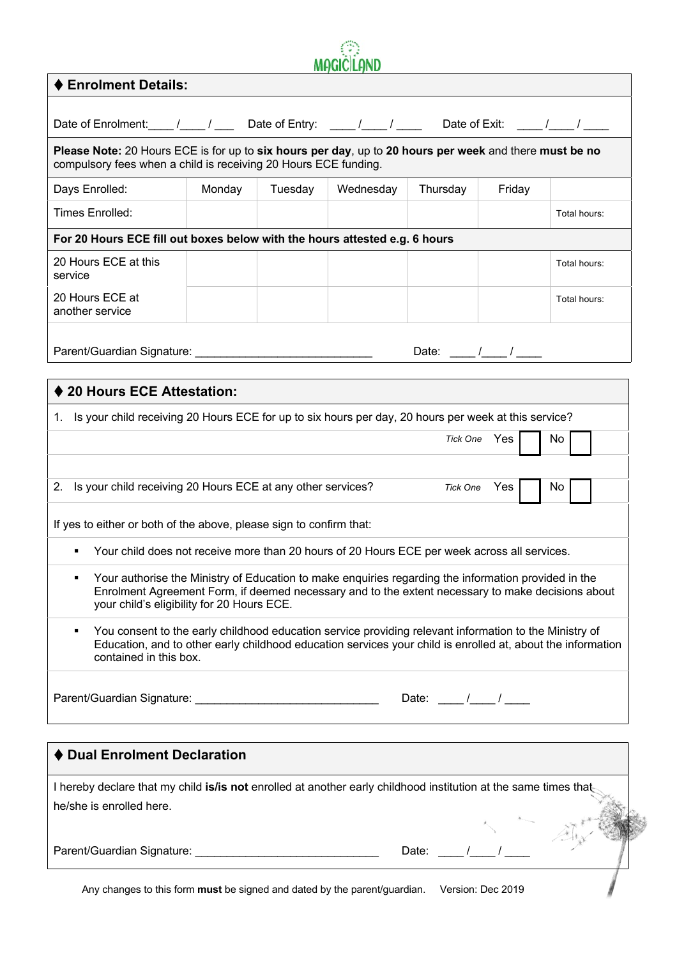|                                                                                                                                                                                                                                                                                                                                                                                                                                                                                     |        |         | <b>MAGIC LAND</b> |                                                                                                                                                                                                                                                                                                                                                                                                                  |                              |              |
|-------------------------------------------------------------------------------------------------------------------------------------------------------------------------------------------------------------------------------------------------------------------------------------------------------------------------------------------------------------------------------------------------------------------------------------------------------------------------------------|--------|---------|-------------------|------------------------------------------------------------------------------------------------------------------------------------------------------------------------------------------------------------------------------------------------------------------------------------------------------------------------------------------------------------------------------------------------------------------|------------------------------|--------------|
| ♦ Enrolment Details:                                                                                                                                                                                                                                                                                                                                                                                                                                                                |        |         |                   |                                                                                                                                                                                                                                                                                                                                                                                                                  |                              |              |
| Date of Enrolment: ___ /___ / ___ Date of Entry: ___ /___ / ____ Date of Exit: ___ /___ / ____                                                                                                                                                                                                                                                                                                                                                                                      |        |         |                   |                                                                                                                                                                                                                                                                                                                                                                                                                  |                              |              |
| Please Note: 20 Hours ECE is for up to six hours per day, up to 20 hours per week and there must be no<br>compulsory fees when a child is receiving 20 Hours ECE funding.                                                                                                                                                                                                                                                                                                           |        |         |                   |                                                                                                                                                                                                                                                                                                                                                                                                                  |                              |              |
| Days Enrolled:                                                                                                                                                                                                                                                                                                                                                                                                                                                                      | Monday | Tuesday | Wednesday         | Thursday                                                                                                                                                                                                                                                                                                                                                                                                         | Friday                       |              |
| Times Enrolled:                                                                                                                                                                                                                                                                                                                                                                                                                                                                     |        |         |                   |                                                                                                                                                                                                                                                                                                                                                                                                                  |                              | Total hours: |
| For 20 Hours ECE fill out boxes below with the hours attested e.g. 6 hours                                                                                                                                                                                                                                                                                                                                                                                                          |        |         |                   |                                                                                                                                                                                                                                                                                                                                                                                                                  |                              |              |
| 20 Hours ECE at this<br>service                                                                                                                                                                                                                                                                                                                                                                                                                                                     |        |         |                   |                                                                                                                                                                                                                                                                                                                                                                                                                  |                              | Total hours: |
| 20 Hours ECE at<br>another service                                                                                                                                                                                                                                                                                                                                                                                                                                                  |        |         |                   |                                                                                                                                                                                                                                                                                                                                                                                                                  |                              | Total hours: |
| Parent/Guardian Signature: ___________________________________                                                                                                                                                                                                                                                                                                                                                                                                                      |        |         |                   | Date: $\frac{1}{\sqrt{2\pi}}$                                                                                                                                                                                                                                                                                                                                                                                    |                              |              |
|                                                                                                                                                                                                                                                                                                                                                                                                                                                                                     |        |         |                   |                                                                                                                                                                                                                                                                                                                                                                                                                  |                              |              |
| ♦ 20 Hours ECE Attestation:                                                                                                                                                                                                                                                                                                                                                                                                                                                         |        |         |                   |                                                                                                                                                                                                                                                                                                                                                                                                                  |                              |              |
| 2. Is your child receiving 20 Hours ECE at any other services?<br>If yes to either or both of the above, please sign to confirm that:                                                                                                                                                                                                                                                                                                                                               |        |         |                   |                                                                                                                                                                                                                                                                                                                                                                                                                  | Tick One Yes<br>Tick One Yes | No<br>No.    |
| Your child does not receive more than 20 hours of 20 Hours ECE per week across all services.<br>Your authorise the Ministry of Education to make enquiries regarding the information provided in the<br>Enrolment Agreement Form, if deemed necessary and to the extent necessary to make decisions about<br>your child's eligibility for 20 Hours ECE.<br>You consent to the early childhood education service providing relevant information to the Ministry of<br>$\blacksquare$ |        |         |                   |                                                                                                                                                                                                                                                                                                                                                                                                                  |                              |              |
| Education, and to other early childhood education services your child is enrolled at, about the information<br>contained in this box.                                                                                                                                                                                                                                                                                                                                               |        |         |                   |                                                                                                                                                                                                                                                                                                                                                                                                                  |                              |              |
|                                                                                                                                                                                                                                                                                                                                                                                                                                                                                     |        |         |                   | Date: $\frac{1}{\sqrt{2\pi}}$                                                                                                                                                                                                                                                                                                                                                                                    |                              |              |
| ♦ Dual Enrolment Declaration                                                                                                                                                                                                                                                                                                                                                                                                                                                        |        |         |                   |                                                                                                                                                                                                                                                                                                                                                                                                                  |                              |              |
| I hereby declare that my child is/is not enrolled at another early childhood institution at the same times that<br>he/she is enrolled here.                                                                                                                                                                                                                                                                                                                                         |        |         |                   |                                                                                                                                                                                                                                                                                                                                                                                                                  |                              |              |
|                                                                                                                                                                                                                                                                                                                                                                                                                                                                                     |        |         |                   | Date: $\frac{1}{\sqrt{1-\frac{1}{1-\frac{1}{1-\frac{1}{1-\frac{1}{1-\frac{1}{1-\frac{1}{1-\frac{1}{1-\frac{1}{1-\frac{1}{1-\frac{1}{1-\frac{1}{1-\frac{1}{1-\frac{1}{1-\frac{1}{1-\frac{1}{1-\frac{1}{1-\frac{1}{1-\frac{1}{1-\frac{1}{1-\frac{1}{1-\frac{1}{1-\frac{1}{1-\frac{1}{1-\frac{1}{1-\frac{1}{1-\frac{1}{1-\frac{1}{1-\frac{1}{1-\frac{1}{1-\frac{1}{1-\frac{1}{1-\frac{1}{1-\frac{1}{1-\frac{1}{1-\$ |                              |              |
|                                                                                                                                                                                                                                                                                                                                                                                                                                                                                     |        |         |                   |                                                                                                                                                                                                                                                                                                                                                                                                                  |                              |              |

Any changes to this form **must** be signed and dated by the parent/guardian. Version: Dec 2019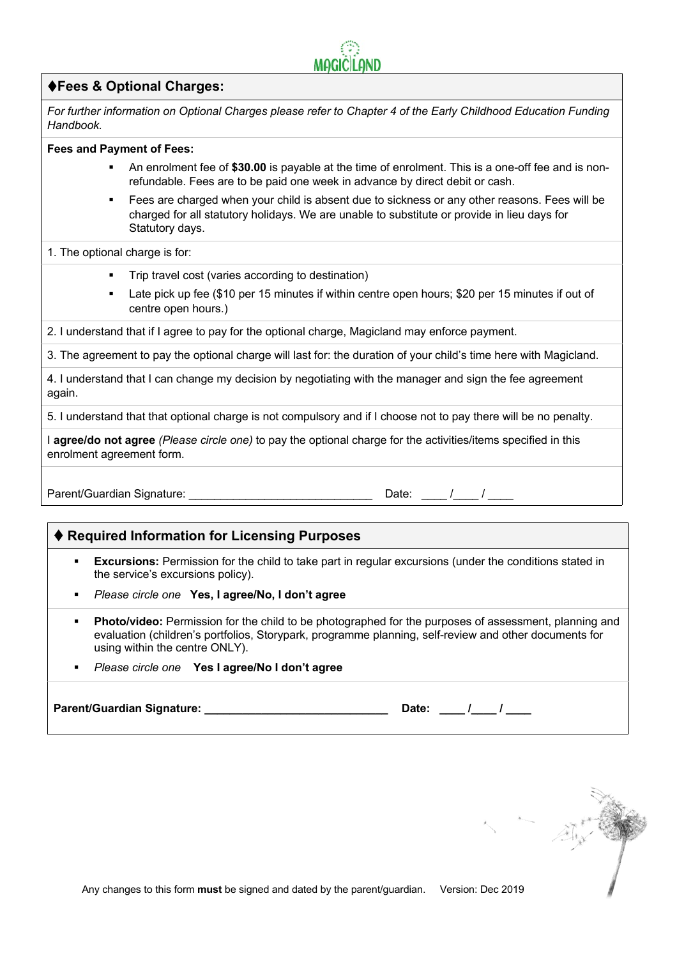

# t**Fees & Optional Charges:**

*For further information on Optional Charges please refer to Chapter 4 of the Early Childhood Education Funding Handbook.*

#### **Fees and Payment of Fees:**

- **•** An enrolment fee of \$30.00 is payable at the time of enrolment. This is a one-off fee and is nonrefundable. Fees are to be paid one week in advance by direct debit or cash.
- § Fees are charged when your child is absent due to sickness or any other reasons. Fees will be charged for all statutory holidays. We are unable to substitute or provide in lieu days for Statutory days.

1. The optional charge is for:

- Trip travel cost (varies according to destination)
- Late pick up fee (\$10 per 15 minutes if within centre open hours; \$20 per 15 minutes if out of centre open hours.)
- 2. I understand that if I agree to pay for the optional charge, Magicland may enforce payment.

3. The agreement to pay the optional charge will last for: the duration of your child's time here with Magicland.

4. I understand that I can change my decision by negotiating with the manager and sign the fee agreement again.

5. I understand that that optional charge is not compulsory and if I choose not to pay there will be no penalty.

I **agree/do not agree** *(Please circle one)* to pay the optional charge for the activities/items specified in this enrolment agreement form.

Parent/Guardian Signature: example and the Date: the Date: the Muslim of the V

# ♦ Required Information for Licensing Purposes

- **Excursions:** Permission for the child to take part in regular excursions (under the conditions stated in the service's excursions policy).
- § *Please circle one* **Yes, I agree/No, I don't agree**
- § **Photo/video:** Permission for the child to be photographed for the purposes of assessment, planning and evaluation (children's portfolios, Storypark, programme planning, self-review and other documents for using within the centre ONLY).
- § *Please circle one* **Yes I agree/No I don't agree**

Parent/Guardian Signature: **We are also provided** 

| . .<br>. .<br>. |
|-----------------|
|-----------------|